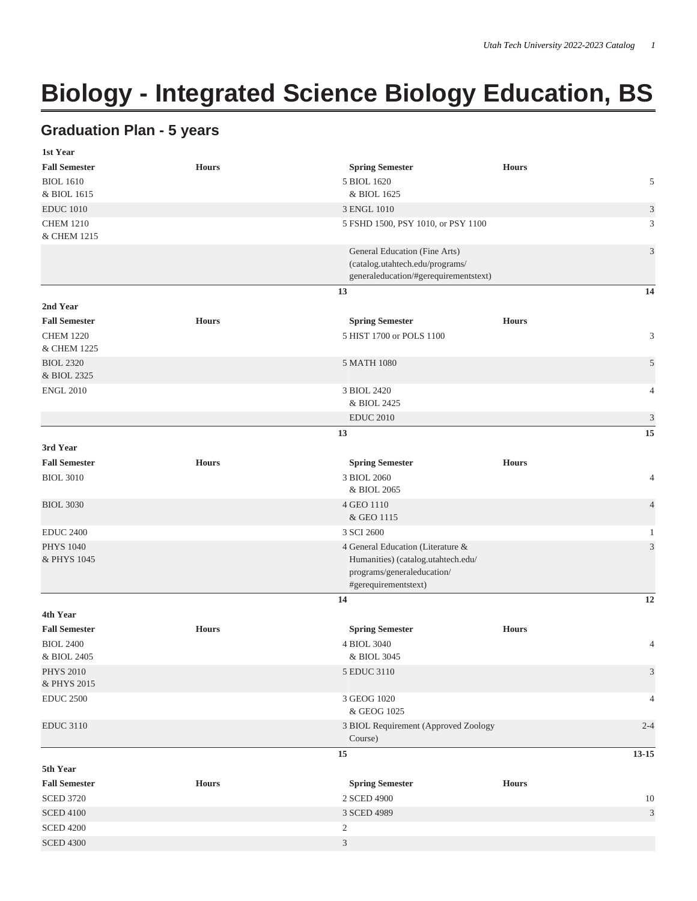## **Biology - Integrated Science Biology Education, BS**

## **Graduation Plan - 5 years**

| 1st Year                        |              |                                                 |                                        |                             |  |  |  |
|---------------------------------|--------------|-------------------------------------------------|----------------------------------------|-----------------------------|--|--|--|
| <b>Fall Semester</b>            | <b>Hours</b> | <b>Spring Semester</b>                          | <b>Hours</b>                           |                             |  |  |  |
| <b>BIOL 1610</b>                |              | 5 BIOL 1620                                     |                                        | 5                           |  |  |  |
| & BIOL 1615                     |              | & BIOL 1625                                     |                                        |                             |  |  |  |
| <b>EDUC 1010</b>                |              | 3 ENGL 1010                                     |                                        |                             |  |  |  |
| <b>CHEM 1210</b><br>& CHEM 1215 |              | 5 FSHD 1500, PSY 1010, or PSY 1100              |                                        |                             |  |  |  |
|                                 |              | General Education (Fine Arts)                   |                                        | $\mathfrak{Z}$              |  |  |  |
|                                 |              | (catalog.utahtech.edu/programs/                 |                                        |                             |  |  |  |
|                                 |              | generaleducation/#gerequirementstext)           |                                        |                             |  |  |  |
|                                 |              | 13                                              |                                        | 14                          |  |  |  |
| 2nd Year                        |              |                                                 |                                        |                             |  |  |  |
| <b>Fall Semester</b>            | <b>Hours</b> |                                                 | <b>Spring Semester</b><br><b>Hours</b> |                             |  |  |  |
| <b>CHEM 1220</b><br>& CHEM 1225 |              |                                                 | 5 HIST 1700 or POLS 1100               |                             |  |  |  |
| <b>BIOL 2320</b>                |              | 5 MATH 1080                                     |                                        | 5                           |  |  |  |
| & BIOL 2325                     |              |                                                 |                                        |                             |  |  |  |
| <b>ENGL 2010</b>                |              | 3 BIOL 2420                                     |                                        | 4                           |  |  |  |
|                                 |              | & BIOL 2425                                     |                                        |                             |  |  |  |
|                                 |              | <b>EDUC 2010</b>                                |                                        | $\mathfrak{Z}$              |  |  |  |
|                                 |              | 13                                              |                                        | 15                          |  |  |  |
| 3rd Year                        |              |                                                 |                                        |                             |  |  |  |
| <b>Fall Semester</b>            | <b>Hours</b> | <b>Spring Semester</b>                          | <b>Hours</b>                           |                             |  |  |  |
| <b>BIOL 3010</b>                |              | 3 BIOL 2060                                     |                                        | 4                           |  |  |  |
|                                 |              | & BIOL 2065                                     |                                        |                             |  |  |  |
| <b>BIOL 3030</b>                |              | 4 GEO 1110                                      |                                        | $\overline{4}$              |  |  |  |
|                                 |              | & GEO 1115                                      |                                        |                             |  |  |  |
| <b>EDUC 2400</b>                |              | 3 SCI 2600<br>$\mathbf{1}$                      |                                        |                             |  |  |  |
| <b>PHYS 1040</b>                |              | 4 General Education (Literature &<br>3          |                                        |                             |  |  |  |
| & PHYS 1045                     |              | programs/generaleducation/                      | Humanities) (catalog.utahtech.edu/     |                             |  |  |  |
|                                 |              | #gerequirementstext)                            |                                        |                             |  |  |  |
|                                 |              | 14                                              |                                        | 12                          |  |  |  |
| 4th Year                        |              |                                                 |                                        |                             |  |  |  |
| <b>Fall Semester</b>            | <b>Hours</b> | <b>Spring Semester</b>                          | <b>Hours</b>                           |                             |  |  |  |
| <b>BIOL 2400</b>                |              | 4 BIOL 3040                                     |                                        | $\overline{4}$              |  |  |  |
| & BIOL 2405                     |              | & BIOL 3045                                     |                                        |                             |  |  |  |
| <b>PHYS 2010</b>                |              | 5 EDUC 3110                                     |                                        | $\ensuremath{\mathfrak{Z}}$ |  |  |  |
| & PHYS 2015                     |              |                                                 |                                        |                             |  |  |  |
| <b>EDUC 2500</b>                |              | 3 GEOG 1020                                     |                                        | 4                           |  |  |  |
|                                 |              | & GEOG 1025                                     |                                        |                             |  |  |  |
| <b>EDUC 3110</b>                |              | 3 BIOL Requirement (Approved Zoology<br>Course) |                                        | $2 - 4$                     |  |  |  |
|                                 |              | 15                                              |                                        | $13 - 15$                   |  |  |  |
| 5th Year                        |              |                                                 |                                        |                             |  |  |  |
| <b>Fall Semester</b>            | <b>Hours</b> | <b>Spring Semester</b>                          | <b>Hours</b>                           |                             |  |  |  |
| <b>SCED 3720</b>                |              | 2 SCED 4900                                     | 10                                     |                             |  |  |  |
| <b>SCED 4100</b>                |              | 3 SCED 4989                                     | $\ensuremath{\mathfrak{Z}}$            |                             |  |  |  |
| <b>SCED 4200</b>                |              | $\overline{c}$                                  |                                        |                             |  |  |  |
| <b>SCED 4300</b>                |              | 3                                               |                                        |                             |  |  |  |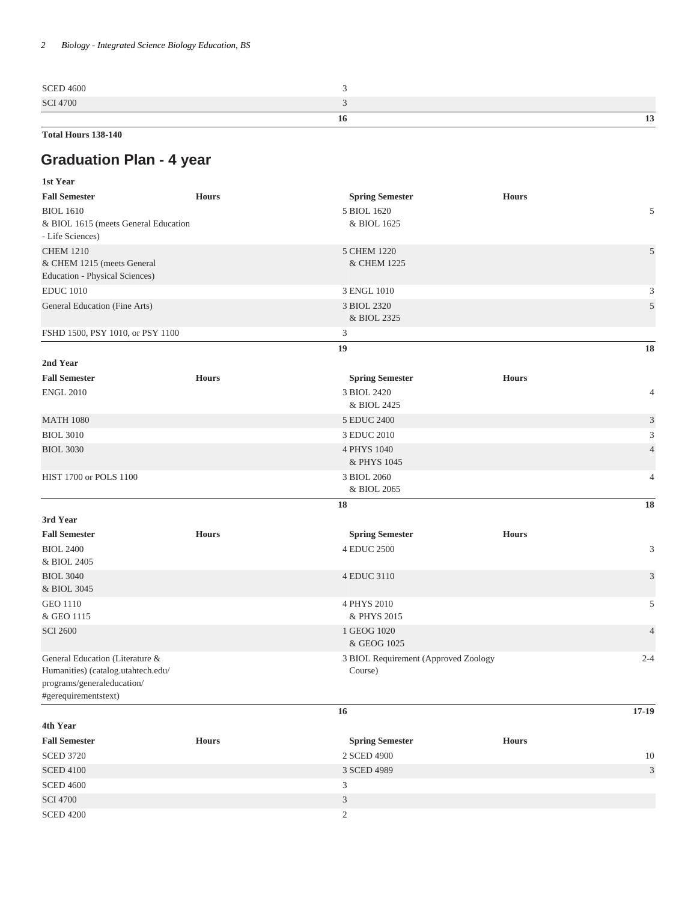**Total Hours 138-140**

## **Graduation Plan - 4 year**

| 1st Year                                                         |              |                                      |              |                |  |
|------------------------------------------------------------------|--------------|--------------------------------------|--------------|----------------|--|
| <b>Fall Semester</b><br><b>Hours</b>                             |              | <b>Spring Semester</b>               | <b>Hours</b> |                |  |
| <b>BIOL 1610</b>                                                 |              | 5 BIOL 1620                          |              | 5              |  |
| & BIOL 1615 (meets General Education<br>- Life Sciences)         |              | & BIOL 1625                          |              |                |  |
| <b>CHEM 1210</b><br>& CHEM 1215 (meets General                   |              | 5 CHEM 1220                          |              | 5              |  |
|                                                                  |              | & CHEM 1225                          |              |                |  |
| Education - Physical Sciences)                                   |              |                                      |              |                |  |
| <b>EDUC</b> 1010                                                 |              | 3 ENGL 1010                          |              |                |  |
| General Education (Fine Arts)                                    |              | 3 BIOL 2320<br>& BIOL 2325           |              |                |  |
| FSHD 1500, PSY 1010, or PSY 1100                                 |              | 3                                    |              |                |  |
|                                                                  |              | 19                                   |              | 18             |  |
| 2nd Year                                                         |              |                                      |              |                |  |
| <b>Fall Semester</b>                                             | <b>Hours</b> | <b>Spring Semester</b>               | <b>Hours</b> |                |  |
| <b>ENGL 2010</b>                                                 |              | 3 BIOL 2420<br>& BIOL 2425           |              | $\overline{4}$ |  |
| <b>MATH 1080</b>                                                 |              | 5 EDUC 2400                          |              | $\mathfrak{Z}$ |  |
| <b>BIOL 3010</b>                                                 |              | 3 EDUC 2010                          |              |                |  |
| <b>BIOL 3030</b>                                                 |              | 4 PHYS 1040                          |              | $\overline{4}$ |  |
|                                                                  |              | & PHYS 1045                          |              |                |  |
| HIST 1700 or POLS 1100                                           |              | 3 BIOL 2060<br>& BIOL 2065           |              |                |  |
|                                                                  |              | 18                                   |              | 18             |  |
| 3rd Year                                                         |              |                                      |              |                |  |
| <b>Fall Semester</b>                                             | <b>Hours</b> | <b>Spring Semester</b>               | <b>Hours</b> |                |  |
| <b>BIOL 2400</b>                                                 |              | 4 EDUC 2500                          |              | 3              |  |
| & BIOL 2405                                                      |              |                                      |              |                |  |
| <b>BIOL 3040</b>                                                 |              | 4 EDUC 3110                          |              | 3              |  |
| & BIOL 3045                                                      |              |                                      |              |                |  |
| <b>GEO 1110</b>                                                  |              | 4 PHYS 2010                          |              |                |  |
| & GEO 1115                                                       |              | & PHYS 2015                          |              |                |  |
| <b>SCI 2600</b>                                                  |              | 1 GEOG 1020                          |              |                |  |
|                                                                  |              | & GEOG 1025                          |              |                |  |
| General Education (Literature &                                  |              | 3 BIOL Requirement (Approved Zoology |              | $2 - 4$        |  |
| Humanities) (catalog.utahtech.edu/<br>programs/generaleducation/ |              | Course)                              |              |                |  |
| #gerequirementstext)                                             |              |                                      |              |                |  |
|                                                                  |              | 16                                   |              | $17 - 19$      |  |
| 4th Year                                                         |              |                                      |              |                |  |
| <b>Fall Semester</b>                                             | <b>Hours</b> | <b>Spring Semester</b>               | <b>Hours</b> |                |  |
| <b>SCED 3720</b>                                                 |              | 2 SCED 4900                          |              | 10             |  |
| <b>SCED 4100</b>                                                 |              | $\mathfrak{Z}$<br>3 SCED 4989        |              |                |  |
| <b>SCED 4600</b>                                                 |              | 3                                    |              |                |  |
| <b>SCI 4700</b>                                                  |              | $\mathfrak{Z}$                       |              |                |  |
| <b>SCED 4200</b>                                                 |              | $\overline{c}$                       |              |                |  |